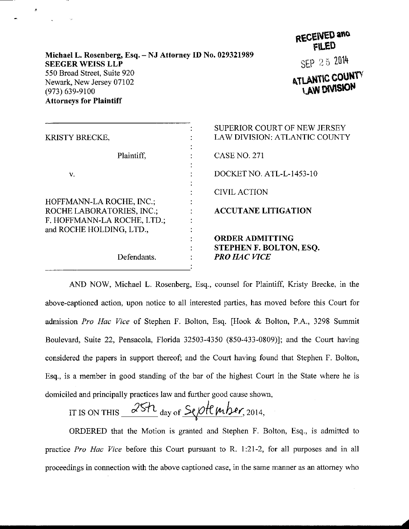## Michael L. Rosenberg, Esq. - NJ Attorney ID No. 029321989 **SEEGER WEISS LLP** 550 Broad Street, Suite 920 Newark, New Jersey 07102  $(973) 639 - 9100$ **Attorneys for Plaintiff**



SEP 25 2014

**ATLANTIC COUNTY LAW DIVISION** 

|                             | SUPERIOR COURT OF NEW JERSEY         |
|-----------------------------|--------------------------------------|
| KRISTY BRECKE,              | <b>LAW DIVISION: ATLANTIC COUNTY</b> |
| Plaintiff.                  | <b>CASE NO. 271</b>                  |
| v.                          | DOCKET NO. ATL-L-1453-10             |
|                             | <b>CIVIL ACTION</b>                  |
| HOFFMANN-LA ROCHE, INC.;    |                                      |
| ROCHE LABORATORIES, INC.;   | <b>ACCUTANE LITIGATION</b>           |
| F. HOFFMANN-LA ROCHE, LTD.; |                                      |
| and ROCHE HOLDING, LTD.,    |                                      |
|                             | <b>ORDER ADMITTING</b>               |
| Defendants.                 | STEPHEN F. BOLTON, ESQ.              |
|                             | <b>PRO HAC VICE</b>                  |
|                             |                                      |

AND NOW, Michael L. Rosenberg, Esq., counsel for Plaintiff, Kristy Brecke, in the above-captioned action, upon notice to all interested parties, has moved before this Court for admission Pro Hac Vice of Stephen F. Bolton, Esq. [Hook & Bolton, P.A., 3298 Summit Boulevard, Suite 22, Pensacola, Florida 32503-4350 (850-433-0809)]; and the Court having considered the papers in support thereof; and the Court having found that Stephen F. Bolton, Esq., is a member in good standing of the bar of the highest Court in the State where he is domiciled and principally practices law and further good cause shown,

IT IS ON THIS  $25h$  day of  $Sef$  of  $mber$ , 2014,

ORDERED that the Motion is granted and Stephen F. Bolton, Esq., is admitted to practice *Pro Hac Vice* before this Court pursuant to R. 1:21-2, for all purposes and in all proceedings in connection with the above captioned case, in the same manner as an attorney who